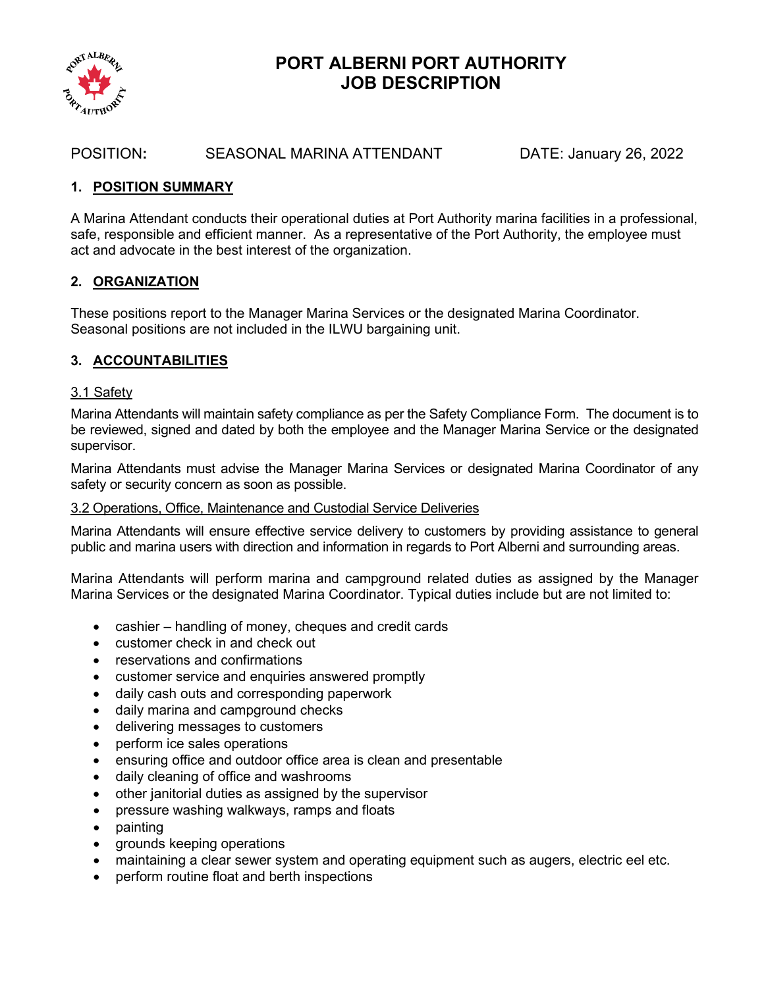

# **PORT ALBERNI PORT AUTHORITY JOB DESCRIPTION**

## POSITION**:** SEASONAL MARINA ATTENDANT DATE: January 26, 2022

#### **1. POSITION SUMMARY**

A Marina Attendant conducts their operational duties at Port Authority marina facilities in a professional, safe, responsible and efficient manner. As a representative of the Port Authority, the employee must act and advocate in the best interest of the organization.

## **2. ORGANIZATION**

These positions report to the Manager Marina Services or the designated Marina Coordinator. Seasonal positions are not included in the ILWU bargaining unit.

# **3. ACCOUNTABILITIES**

#### 3.1 Safety

Marina Attendants will maintain safety compliance as per the Safety Compliance Form. The document is to be reviewed, signed and dated by both the employee and the Manager Marina Service or the designated supervisor.

Marina Attendants must advise the Manager Marina Services or designated Marina Coordinator of any safety or security concern as soon as possible.

#### 3.2 Operations, Office, Maintenance and Custodial Service Deliveries

Marina Attendants will ensure effective service delivery to customers by providing assistance to general public and marina users with direction and information in regards to Port Alberni and surrounding areas.

Marina Attendants will perform marina and campground related duties as assigned by the Manager Marina Services or the designated Marina Coordinator. Typical duties include but are not limited to:

- cashier handling of money, cheques and credit cards
- customer check in and check out
- reservations and confirmations
- customer service and enquiries answered promptly
- daily cash outs and corresponding paperwork
- daily marina and campground checks
- delivering messages to customers
- perform ice sales operations
- ensuring office and outdoor office area is clean and presentable
- daily cleaning of office and washrooms
- other janitorial duties as assigned by the supervisor
- pressure washing walkways, ramps and floats
- painting
- grounds keeping operations
- maintaining a clear sewer system and operating equipment such as augers, electric eel etc.
- perform routine float and berth inspections